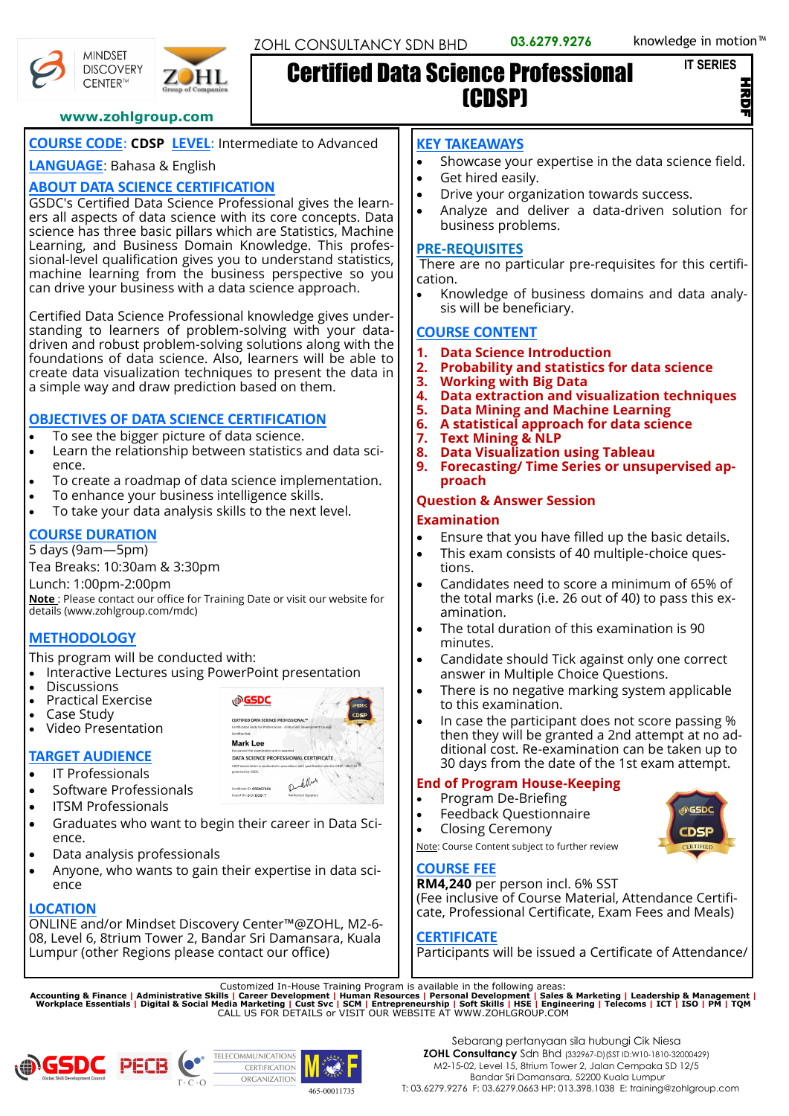.<br>르

#### **www.zohlgroup.com**

# **COURSE CODE**: **CDSP LEVEL**: Intermediate to Advanced

HL

## **LANGUAGE**: Bahasa & English

**MINDSET DISCOVERY** 

CENTER™

# **ABOUT DATA SCIENCE CERTIFICATION**

GSDC's Certified Data Science Professional gives the learners all aspects of data science with its core concepts. Data science has three basic pillars which are Statistics, Machine Learning, and Business Domain Knowledge. This professional-level qualification gives you to understand statistics, machine learning from the business perspective so you can drive your business with a data science approach.

Certified Data Science Professional knowledge gives understanding to learners of problem-solving with your datadriven and robust problem-solving solutions along with the foundations of data science. Also, learners will be able to create data visualization techniques to present the data in a simple way and draw prediction based on them.

#### **OBJECTIVES OF DATA SCIENCE CERTIFICATION**

- To see the bigger picture of data science.
- Learn the relationship between statistics and data science.
- To create a roadmap of data science implementation.
- To enhance your business intelligence skills.
- To take your data analysis skills to the next level.

# **COURSE DURATION**

5 days (9am—5pm)

Tea Breaks: 10:30am & 3:30pm

Lunch: 1:00pm-2:00pm

**Note** : Please contact our office for Training Date or visit our website for details (www.zohlgroup.com/mdc)

# **METHODOLOGY**

This program will be conducted with:

- Interactive Lectures using PowerPoint presentation
- **Discussions**
- Practical Exercise
- Case Study
- Video Presentation

# **TARGET AUDIENCE**

- IT Professionals
- Software Professionals
- ITSM Professionals
- Graduates who want to begin their career in Data Science.
- Data analysis professionals
- Anyone, who wants to gain their expertise in data science

# **LOCATION**

ONLINE and/or Mindset Discovery Center™@ZOHL, M2-6- 08, Level 6, 8trium Tower 2, Bandar Sri Damansara, Kuala Lumpur (other Regions please contact our office)



# **KEY TAKEAWAYS**

Certified Data Science Professional

- Showcase your expertise in the data science field.
- Get hired easily.

(CDSP)

- Drive your organization towards success.
- Analyze and deliver a data-driven solution for business problems.

#### **PRE-REQUISITES**

There are no particular pre-requisites for this certification.

• Knowledge of business domains and data analysis will be beneficiary.

# **COURSE CONTENT**

- **1. Data Science Introduction**
- **2. Probability and statistics for data science**
- **3. Working with Big Data**
- **4. Data extraction and visualization techniques**
- **5. Data Mining and Machine Learning**
- **6. A statistical approach for data science**
- **7. Text Mining & NLP**
- **8. Data Visualization using Tableau**
- **9. Forecasting/ Time Series or unsupervised approach**

## **Question & Answer Session**

#### **Examination**

- Ensure that you have filled up the basic details.
- This exam consists of 40 multiple-choice questions.
- Candidates need to score a minimum of 65% of the total marks (i.e. 26 out of 40) to pass this examination.
- The total duration of this examination is 90 minutes.
- Candidate should Tick against only one correct answer in Multiple Choice Questions.
- There is no negative marking system applicable to this examination.
- In case the participant does not score passing % then they will be granted a 2nd attempt at no additional cost. Re-examination can be taken up to 30 days from the date of the 1st exam attempt.

# **End of Program House-Keeping**

- Program De-Briefing
- Feedback Questionnaire
- Closing Ceremony



Note: Course Content subject to further review

#### **COURSE FEE**

**RM4,240** per person incl. 6% SST (Fee inclusive of Course Material, Attendance Certificate, Professional Certificate, Exam Fees and Meals)

#### **CERTIFICATE**

Participants will be issued a Certificate of Attendance/

Customized In-House Training Program is available in the following areas:<br>Accounting & Finance | Administrative Skills | Career Development | Human Resources | Personal Development | Sales & Marketing | Leadership & Manag